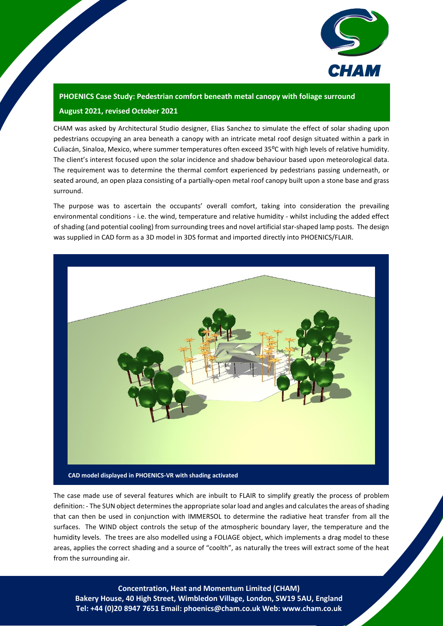

## **PHOENICS Case Study: Pedestrian comfort beneath metal canopy with foliage surround August 2021, revised October 2021**

CHAM was asked by Architectural Studio designer, Elias Sanchez to simulate the effect of solar shading upon pedestrians occupying an area beneath a canopy with an intricate metal roof design situated within a park in Culiacán, Sinaloa, Mexico, where summer temperatures often exceed 35°C with high levels of relative humidity. The client's interest focused upon the solar incidence and shadow behaviour based upon meteorological data. The requirement was to determine the thermal comfort experienced by pedestrians passing underneath, or seated around, an open plaza consisting of a partially-open metal roof canopy built upon a stone base and grass surround.

The purpose was to ascertain the occupants' overall comfort, taking into consideration the prevailing environmental conditions - i.e. the wind, temperature and relative humidity - whilst including the added effect of shading (and potential cooling) from surrounding trees and novel artificial star-shaped lamp posts. The design was supplied in CAD form as a 3D model in 3DS format and imported directly into PHOENICS/FLAIR.



The case made use of several features which are inbuilt to FLAIR to simplify greatly the process of problem definition: - The SUN object determines the appropriate solar load and angles and calculates the areas of shading that can then be used in conjunction with IMMERSOL to determine the radiative heat transfer from all the surfaces. The WIND object controls the setup of the atmospheric boundary layer, the temperature and the humidity levels. The trees are also modelled using a FOLIAGE object, which implements a drag model to these areas, applies the correct shading and a source of "coolth", as naturally the trees will extract some of the heat from the surrounding air.

1 **Concentration, Heat and Momentum Limited (CHAM) Bakery House, 40 High Street, Wimbledon Village, London, SW19 5AU, England Tel: +44 (0)20 8947 7651 Email: [phoenics@cham.co.uk](mailto:phoenics@cham.co.uk) Web: [www.cham.co.uk](http://www.cham.co.uk/)**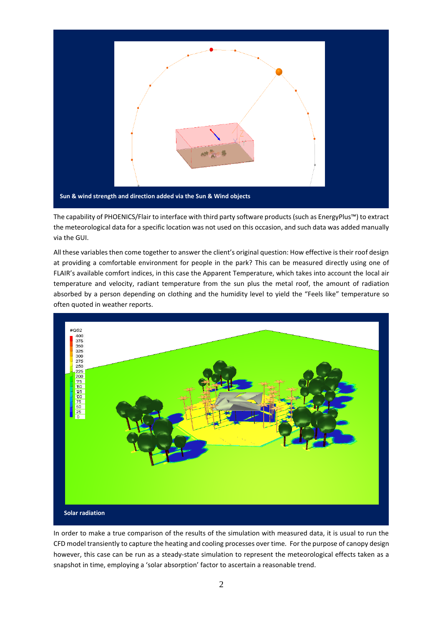

The capability of PHOENICS/Flair to interface with third party software products (such as EnergyPlus™) to extract the meteorological data for a specific location was not used on this occasion, and such data was added manually via the GUI.

All these variables then come together to answer the client's original question: How effective is their roof design at providing a comfortable environment for people in the park? This can be measured directly using one of FLAIR's available comfort indices, in this case the Apparent Temperature, which takes into account the local air temperature and velocity, radiant temperature from the sun plus the metal roof, the amount of radiation absorbed by a person depending on clothing and the humidity level to yield the "Feels like" temperature so often quoted in weather reports.



In order to make a true comparison of the results of the simulation with measured data, it is usual to run the CFD model transiently to capture the heating and cooling processes over time. For the purpose of canopy design however, this case can be run as a steady-state simulation to represent the meteorological effects taken as a snapshot in time, employing a 'solar absorption' factor to ascertain a reasonable trend.